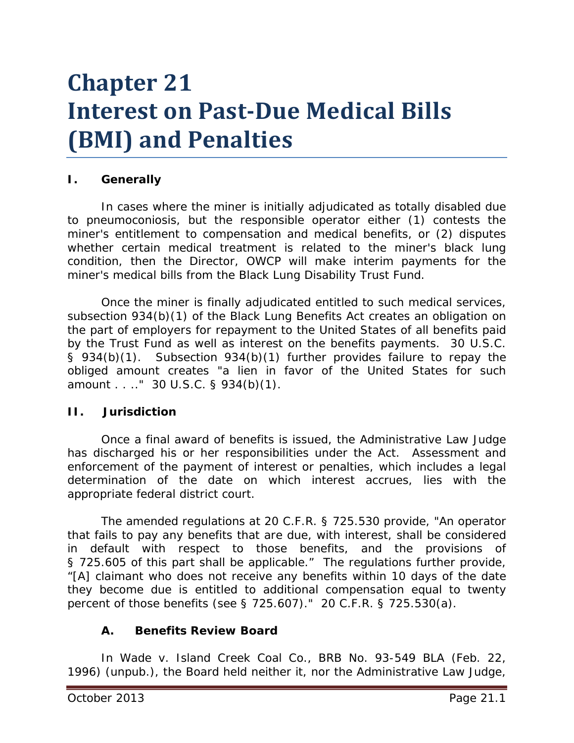# **Chapter 21 Interest on Past-Due Medical Bills (BMI) and Penalties**

### **I. Generally**

In cases where the miner is initially adjudicated as totally disabled due to pneumoconiosis, but the responsible operator either (1) contests the miner's entitlement to compensation and medical benefits, or (2) disputes whether certain medical treatment is related to the miner's black lung condition, then the Director, OWCP will make interim payments for the miner's medical bills from the Black Lung Disability Trust Fund.

Once the miner is finally adjudicated entitled to such medical services, subsection 934(b)(1) of the Black Lung Benefits Act creates an obligation on the part of employers for repayment to the United States of all benefits paid by the Trust Fund as well as interest on the benefits payments. 30 U.S.C. § 934(b)(1). Subsection 934(b)(1) further provides failure to repay the obliged amount creates "a lien in favor of the United States for such amount . . .." 30 U.S.C. § 934(b)(1).

#### **II. Jurisdiction**

Once a final award of benefits is issued, the Administrative Law Judge has discharged his or her responsibilities under the Act. Assessment and enforcement of the payment of interest or penalties, which includes a legal determination of the date on which interest accrues, lies with the appropriate federal district court.

The amended regulations at 20 C.F.R. § 725.530 provide, "An operator that fails to pay any benefits that are due, with interest, shall be considered in default with respect to those benefits, and the provisions of § 725.605 of this part shall be applicable." The regulations further provide, "[A] claimant who does not receive any benefits within 10 days of the date they become due is entitled to additional compensation equal to twenty percent of those benefits (see § 725.607)." 20 C.F.R. § 725.530(a).

### **A. Benefits Review Board**

In *Wade v. Island Creek Coal Co.*, BRB No. 93-549 BLA (Feb. 22, 1996) (unpub.), the Board held neither it, nor the Administrative Law Judge,